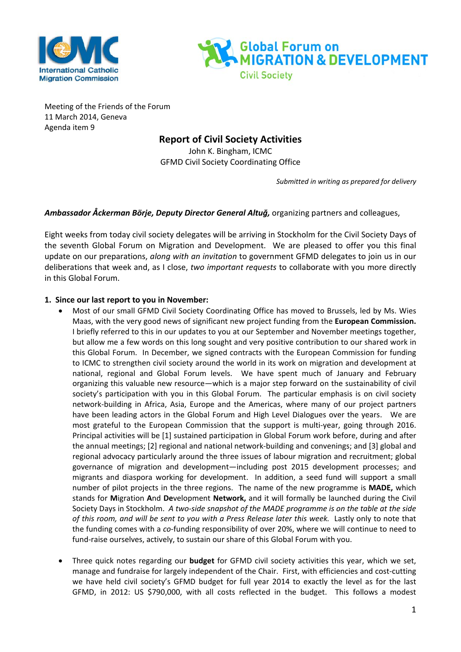



Meeting of the Friends of the Forum 11 March 2014, Geneva Agenda item 9

## **Report of Civil Society Activities**

John K. Bingham, ICMC GFMD Civil Society Coordinating Office

*Submitted in writing as prepared for delivery*

## *Ambassador Åckerman Börje, Deputy Director General Altuğ,* organizing partners and colleagues,

Eight weeks from today civil society delegates will be arriving in Stockholm for the Civil Society Days of the seventh Global Forum on Migration and Development. We are pleased to offer you this final update on our preparations, *along with an invitation* to government GFMD delegates to join us in our deliberations that week and, as I close, *two important requests* to collaborate with you more directly in this Global Forum.

## **1. Since our last report to you in November:**

- Most of our small GFMD Civil Society Coordinating Office has moved to Brussels, led by Ms. Wies Maas, with the very good news of significant new project funding from the **European Commission.** I briefly referred to this in our updates to you at our September and November meetings together, but allow me a few words on this long sought and very positive contribution to our shared work in this Global Forum. In December, we signed contracts with the European Commission for funding to ICMC to strengthen civil society around the world in its work on migration and development at national, regional and Global Forum levels. We have spent much of January and February organizing this valuable new resource—which is a major step forward on the sustainability of civil society's participation with you in this Global Forum. The particular emphasis is on civil society network-building in Africa, Asia, Europe and the Americas, where many of our project partners have been leading actors in the Global Forum and High Level Dialogues over the years. We are most grateful to the European Commission that the support is multi-year, going through 2016. Principal activities will be [1] sustained participation in Global Forum work before, during and after the annual meetings; [2] regional and national network-building and convenings; and [3] global and regional advocacy particularly around the three issues of labour migration and recruitment; global governance of migration and development—including post 2015 development processes; and migrants and diaspora working for development. In addition, a seed fund will support a small number of pilot projects in the three regions. The name of the new programme is **MADE,** which stands for **M**igration **A**nd **De**velopment **Network,** and it will formally be launched during the Civil Society Days in Stockholm. *A two-side snapshot of the MADE programme is on the table at the side of this room, and will be sent to you with a Press Release later this week.* Lastly only to note that the funding comes with a *co*-funding responsibility of over 20%, where we will continue to need to fund-raise ourselves, actively, to sustain our share of this Global Forum with you.
- Three quick notes regarding our **budget** for GFMD civil society activities this year, which we set, manage and fundraise for largely independent of the Chair. First, with efficiencies and cost-cutting we have held civil society's GFMD budget for full year 2014 to exactly the level as for the last GFMD, in 2012: US \$790,000, with all costs reflected in the budget. This follows a modest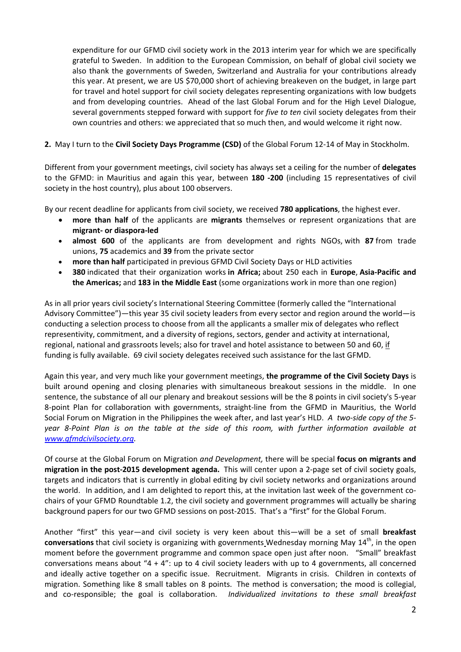expenditure for our GFMD civil society work in the 2013 interim year for which we are specifically grateful to Sweden. In addition to the European Commission, on behalf of global civil society we also thank the governments of Sweden, Switzerland and Australia for your contributions already this year. At present, we are US \$70,000 short of achieving breakeven on the budget, in large part for travel and hotel support for civil society delegates representing organizations with low budgets and from developing countries. Ahead of the last Global Forum and for the High Level Dialogue, several governments stepped forward with support for *five to ten* civil society delegates from their own countries and others: we appreciated that so much then, and would welcome it right now.

## **2.** May I turn to the **Civil Society Days Programme (CSD)** of the Global Forum 12-14 of May in Stockholm.

Different from your government meetings, civil society has always set a ceiling for the number of **delegates** to the GFMD: in Mauritius and again this year, between **180 -200** (including 15 representatives of civil society in the host country), plus about 100 observers.

By our recent deadline for applicants from civil society, we received **780 applications**, the highest ever.

- **more than half** of the applicants are **migrants** themselves or represent organizations that are **migrant- or diaspora-led**
- **almost 600** of the applicants are from development and rights NGOs, with **87** from trade unions, **75** academics and **39** from the private sector
- **more than half** participated in previous GFMD Civil Society Days or HLD activities
- **380** indicated that their organization works **in Africa;** about 250 each in **Europe**, **Asia-Pacific and the Americas;** and **183 in the Middle East** (some organizations work in more than one region)

As in all prior years civil society's International Steering Committee (formerly called the "International Advisory Committee")—this year 35 civil society leaders from every sector and region around the world—is conducting a selection process to choose from all the applicants a smaller mix of delegates who reflect representivity, commitment, and a diversity of regions, sectors, gender and activity at international, regional, national and grassroots levels; also for travel and hotel assistance to between 50 and 60, if funding is fully available. 69 civil society delegates received such assistance for the last GFMD.

Again this year, and very much like your government meetings, **the programme of the Civil Society Days** is built around opening and closing plenaries with simultaneous breakout sessions in the middle. In one sentence, the substance of all our plenary and breakout sessions will be the 8 points in civil society's 5-year 8-point Plan for collaboration with governments, straight-line from the GFMD in Mauritius, the World Social Forum on Migration in the Philippines the week after, and last year's HLD. *A two-side copy of the 5 year 8-Point Plan is on the table at the side of this room, with further information available at [www.gfmdcivilsociety.org.](http://www.gfmdcivilsociety.org/)*

Of course at the Global Forum on Migration *and Development,* there will be special **focus on migrants and migration in the post-2015 development agenda.** This will center upon a 2-page set of civil society goals, targets and indicators that is currently in global editing by civil society networks and organizations around the world. In addition, and I am delighted to report this, at the invitation last week of the government cochairs of your GFMD Roundtable 1.2, the civil society and government programmes will actually be sharing background papers for our two GFMD sessions on post-2015. That's a "first" for the Global Forum.

Another "first" this year—and civil society is very keen about this—will be a set of small **breakfast conversations** that civil society is organizing with governments Wednesday morning May 14<sup>th</sup>, in the open moment before the government programme and common space open just after noon. "Small" breakfast conversations means about " $4 + 4$ ": up to 4 civil society leaders with up to 4 governments, all concerned and ideally active together on a specific issue. Recruitment. Migrants in crisis. Children in contexts of migration. Something like 8 small tables on 8 points. The method is conversation; the mood is collegial, and co-responsible; the goal is collaboration. *Individualized invitations to these small breakfast*